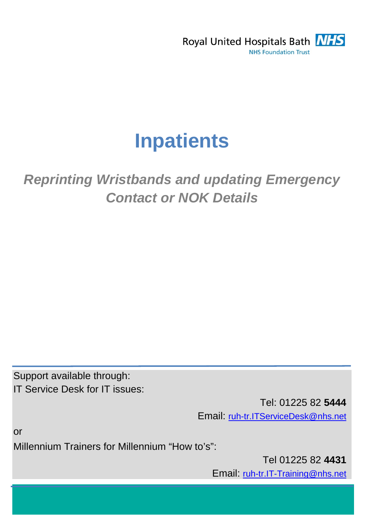

# **Inpatients**

### *Reprinting Wristbands and updating Emergency Contact or NOK Details*

Support available through: IT Service Desk for IT issues:

> Tel: 01225 82 **5444**  Email: [ruh-tr.ITServiceDesk@nhs.net](mailto:ruh-tr.ITServiceDesk@nhs.net)

or

Millennium Trainers for Millennium "How to's":

Tel 01225 82 **4431**  Email: ruh-tr.IT-Training@nhs.net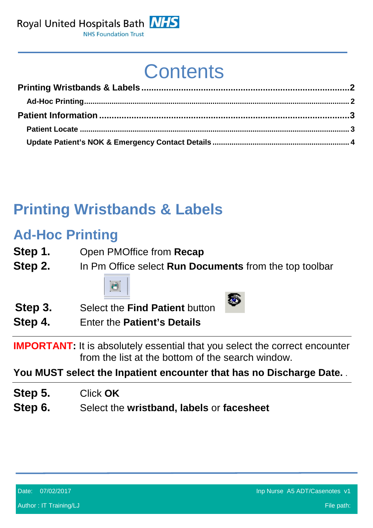# **Contents**

## <span id="page-1-0"></span>**Printing Wristbands & Labels**

#### <span id="page-1-1"></span>**Ad-Hoc Printing**

- **Step 1.** Open PMOffice from **Recap**
- **Step 2.** In Pm Office select **Run Documents** from the top toolbar



**Step 3.** Select the Find Patient button



**Step 4.** Enter the **Patient's Details**

**IMPORTANT:** It is absolutely essential that you select the correct encounter from the list at the bottom of the search window.

**You MUST select the Inpatient encounter that has no Discharge Date. .**

- **Step 5.** Click **OK**
- **Step 6.** Select the **wristband, labels** or **facesheet**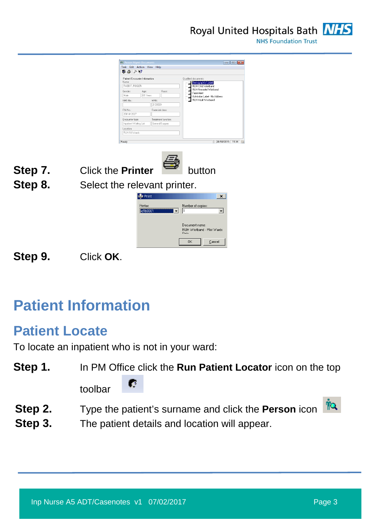Royal United Hospitals Bath NHS **NHS Foundation Trust** 



|                    |                          | (F) Person Mgmt: Documents                            |                          |                                                        |  |
|--------------------|--------------------------|-------------------------------------------------------|--------------------------|--------------------------------------------------------|--|
|                    |                          | Task Edit Action View Help<br>$84 \times 2$           |                          |                                                        |  |
|                    |                          | Patient/Encounter Information<br>Qualified documents: |                          |                                                        |  |
|                    |                          | Name:<br>RABBIT, ROGER                                |                          | Demographic Labels<br>RUH Child Wristband              |  |
|                    | Gender:                  | Age:                                                  | Race:                    | RUH Neonatal Wristband                                 |  |
|                    | Male                     | 61 Years                                              |                          | Facesheet<br>Admission Label - No Address              |  |
|                    | NHS No.:                 |                                                       | MRN:                     | RUH Adult Wristband                                    |  |
|                    |                          |                                                       | 2130369                  |                                                        |  |
|                    | FIN No.:                 | 2001412027                                            | Financial class:         |                                                        |  |
|                    |                          | Encounter type:                                       | Treatment function:      |                                                        |  |
|                    |                          | Inpatient Waiting List                                | General Surgery          |                                                        |  |
|                    | Location:                |                                                       |                          |                                                        |  |
|                    |                          | RUH/All Wards                                         |                          |                                                        |  |
|                    | Ready                    |                                                       |                          | 20/10/2015 15:34                                       |  |
| Step 7.<br>Step 8. | <b>Click the Printer</b> |                                                       |                          | button                                                 |  |
|                    |                          | Select the relevant printer.                          |                          |                                                        |  |
|                    |                          | <b>←</b> Print                                        |                          | $\mathsf{x}$                                           |  |
|                    |                          | Printer:<br>rd1b0001                                  | $\overline{\phantom{a}}$ | Number of copies:<br>$\blacktriangledown$              |  |
|                    |                          |                                                       |                          | Document name:<br>RUH Wristband - Pilot Wards<br>Owlo- |  |
|                    |                          |                                                       |                          | <b>OK</b><br>Cancel                                    |  |

**Step 9.** Click **OK**.

## <span id="page-2-0"></span>**Patient Information**

#### <span id="page-2-1"></span>**Patient Locate**

To locate an inpatient who is not in your ward:

- **Step 1.** In PM Office click the **Run Patient Locator** icon on the top c toolbar
- **Step 2.** Type the patient's surname and click the **Person** icon



**Step 3.** The patient details and location will appear.